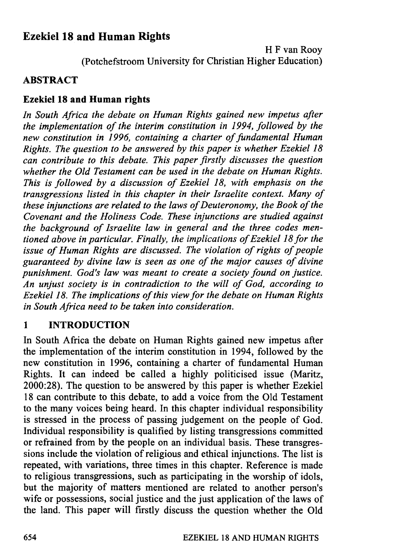# Ezekiel 18 **and Human Rights**

H F van Rooy (Potchefstroom University for Christian Higher Education)

# **ABSTRACT**

# **Ezekiel 18 and Human rights**

*In South Africa the debate on Human Rights gained new impetus after the implementation of the interim constitution in* 1994, *followed by the new constitution in* 1996, *containing a charter of fundamental Human Rights. The question to be answered by this paper is whether Ezekiel 18 can contribute to this debate. This paper firstly discusses the question whether the Old Testament can be used in the debate on Human Rights. This is followed by a discussion of Ezekiel* 18, *with emphasis on the transgressions listed in this chapter in their Israelite context. Many of these injunctions are related to the laws of Deuteronomy, the Book of the Covenant and the Holiness Code. These injunctions are studied against the background of Israelite law in general and the three codes mentioned above in particular. Finally, the implications of Ezekiel 18 for the issue of Human Rights are discussed. The violation of rights of people guaranteed by divine law is seen as one of the major causes of divine punishment. God's law was meant to create a society found on justice. An unjust society is in contradiction to the will of God, according to Ezekiel* 18. *The implications of this view for the debate on Human Rights in South Africa need to be taken into consideration.* 

# **1 INTRODUCTION**

In South Africa the debate on Human Rights gained new impetus after the implementation of the interim constitution in 1994, followed by the new constitution in 1996, containing a charter of fundamental Human Rights. It can indeed be called a highly politicised issue (Maritz, 2000:28). The question to be answered by this paper is whether Ezekiel 18 can contribute to this debate, to add a voice from the Old Testament to the many voices being heard. In this chapter individual responsibility is stressed in the process of passing judgement on the people of God. Individual responsibility is qualified by listing transgressions committed or refrained from by the people on an individual basis. These transgressions include the violation of religious and ethical injunctions. The list is repeated, with variations, three times in this chapter. Reference is made to religious transgressions, such as participating in the worship of idols, but the majority of matters mentioned are related to another person's wife or possessions, social justice and the just application of the laws of the land. This paper will firstly discuss the question whether the Old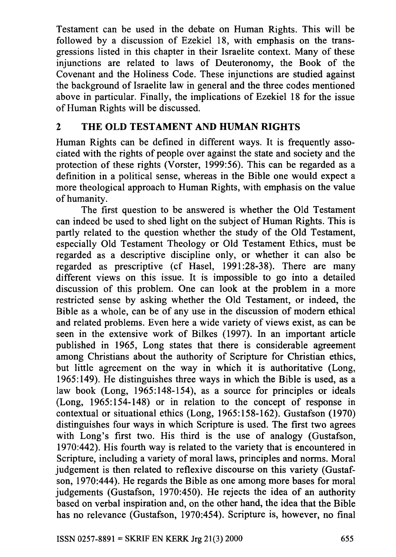Testament can be used in the debate on Human Rights. This will be followed by a discussion of Ezekiel 18, with emphasis on the transgressions listed in this chapter in their Israelite context. Many of these injunctions are related to laws of Deuteronomy, the Book of the Covenant and the Holiness Code. These injunctions are studied against the background of Israelite law in general and the three codes mentioned above in particular. Finally, the implications of Ezekiel 18 for the issue of Human Rights will be discussed.

### 2 THE OLD TESTAMENT AND HUMAN RIGHTS

Human Rights can be defined in different ways. It is frequently associated with the rights of people over against the state and society and the protection of these rights (Vorster, 1999:56). This can be regarded as a definition in a political sense, whereas in the Bible one would expect a more theological approach to Human Rights, with emphasis on the value of humanity.

The first question to be answered is whether the Old Testament can indeed be used to shed light on the subject of Human Rights. This is partly related to the question whether the study of the Old Testament, especially Old Testament Theology or Old Testament Ethics, must be regarded as a descriptive discipline only, or whether it can also be regarded as prescriptive (cf Hasel, 1991 :28-38). There are many different views on this issue. It is impossible to go into a detailed discussion of this problem. One can look at the problem in a more restricted sense by asking whether the Old Testament, or indeed, the Bible as a whole, can be of any use in the discussion of modem ethical and related problems. Even here a wide variety of views exist, as can be seen in the extensive work of Bilkes (1997). In an important article published in 1965, Long states that there is considerable agreement among Christians about the authority of Scripture for Christian ethics, but little agreement on the way in which it is authoritative (Long, 1965: 149). He distinguishes three ways in which the Bible is used, as a law book (Long, 1965:148-154), as a source for principles or ideals (Long, 1965: 154-148) or in relation to the concept of response in contextual or situational ethics (Long, 1965:158-162). Gustafson (1970) distinguishes four ways in which Scripture is used. The first two agrees with Long's first two. His third is the use of analogy (Gustafson, 1970:442). His fourth way is related to the variety that is encountered in Scripture, including a variety of moral laws, principles and norms. Moral judgement is then related to reflexive discourse on this variety (Gustafson, 1970:444). He regards the Bible as one among more bases for moral judgements (Gustafson, 1970:450). He rejects the idea of an authority based on verbal inspiration and, on the other hand, the idea that the Bible has no relevance (Gustafson, 1970:454). Scripture is, however, no final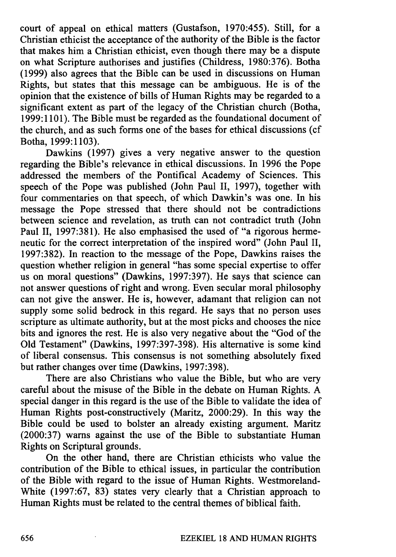court of appeal on ethical matters (Gustafson, 1970:455). Still, for a Christian ethicist the acceptance of the authority of the Bible is the factor that makes him a Christian ethicist, even though there may be a dispute on what Scripture authorises and justifies (Childress, 1980:376). Botha (1999) also agrees that the Bible can be used in discussions on Human Rights, but states that this message can be ambiguous. He is of the opinion that the existence of bills of Human Rights may be regarded to a significant extent as part of the legacy of the Christian church (Botha, 1999:1101). The Bible must be regarded as the foundational document of the church, and as such forms one of the bases for ethical discussions (cf Botha, 1999:1103).

Dawkins (1997) gives a very negative answer to the question regarding the Bible's relevance in ethical discussions. In 1996 the Pope addressed the members of the Pontifical Academy of Sciences. This speech of the Pope was published (John Paul II, 1997), together with four commentaries on that speech, of which Dawkin's was one. In his message the Pope stressed that there should not be contradictions between science and revelation, as truth can not contradict truth (John Paul II, 1997:381). He also emphasised the used of "a rigorous hermeneutic for the correct interpretation of the inspired word" (John Paul II, 1997:382). In reaction to the message of the Pope, Dawkins raises the question whether religion in general "has some special expertise to offer us on moral questions" (Dawkins, 1997:397). He says that science can not answer questions of right and wrong. Even secular moral philosophy can not give the answer. He is, however, adamant that religion can not supply some solid bedrock in this regard. He says that no person uses scripture as ultimate authority, but at the most picks and chooses the nice bits and ignores the rest. He is also very negative about the "God of the Old Testament" (Dawkins, 1997:397-398). His alternative is some kind of liberal consensus. This consensus is not something absolutely fixed but rather changes over time (Dawkins, 1997:398).

There are also Christians who value the Bible, but who are very careful about the misuse of the Bible in the debate on Human Rights. A special danger in this regard is the use of the Bible to validate the idea of Human Rights post-constructively (Maritz, 2000:29). In this way the Bible could be used to bolster an already existing argument. Maritz (2000:37) warns against the use of the Bible to substantiate Human Rights on Scriptural grounds.

On the other hand, there are Christian ethicists who value the contribution of the Bible to ethical issues, in particular the contribution of the Bible with regard to the issue of Human Rights. Westmoreland-White (1997:67, 83) states very clearly that a Christian approach to Human Rights must be related to the central themes of biblical faith.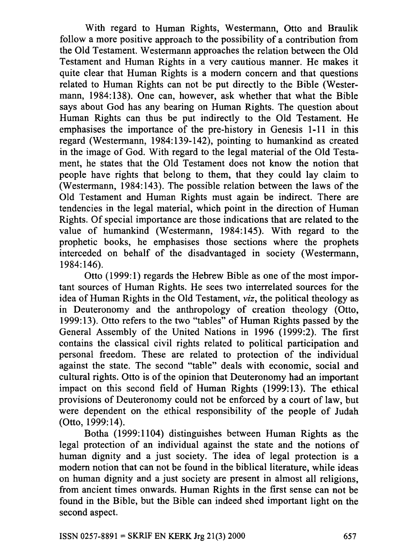With regard to Human Rights, Westermann, Otto and Braulik follow a more positive approach to the possibility of a contribution from the Old Testament. Westermann approaches the relation between the Old Testament and Human Rights in a very cautious manner. He makes it quite clear that Human Rights is a modern concern and that questions related to Human Rights can not be put directly to the Bible (Westermann, 1984:138). One can, however, ask whether that what the Bible says about God has any bearing on Human Rights. The question about Human Rights can thus be put indirectly to the Old Testament. He emphasises the importance of the pre-history in Genesis 1-11 in this regard (Westermann, 1984:139-142), pointing to humankind as created in the image of God. With regard to the legal material of the Old Testament, he states that the Old Testament does not know the notion that people have rights that belong to them, that they could lay claim to (Westermann, 1984:143). The possible relation between the laws of the Old Testament and Human Rights must again be indirect. There are tendencies in the legal material, which point in the direction of Human Rights. Of special importance are those indications that are related to the value of humankind (Westermann, 1984:145). With regard to the prophetic books, he emphasises those sections where the prophets interceded on behalf of the disadvantaged in society (Westermann, 1984:146).

Otto (1999:1) regards the Hebrew Bible as one of the most important sources of Human Rights. He sees two interrelated sources for the idea of Human Rights in the Old Testament, *viz,* the political theology as in Deuteronomy and the anthropology of creation theology (Otto, 1999:13). Otto refers to the two "tables" of Human Rights passed by the General Assembly of the United Nations in 1996 (1999:2). The first contains the classical civil rights related to political participation and personal freedom. These are related to protection of the individual against the state. The second "table" deals with economic, social and cultural rights. Otto is of the opinion that Deuteronomy had an important impact on this second field of Human Rights (1999:13). The ethical provisions of Deuteronomy could not be enforced by a court of law, but were dependent on the ethical responsibility of the people of Judah (Otto, 1999:14).

Botha (1999:1104) distinguishes between Human Rights as the legal protection of an individual against the state and the notions of human dignity and a just society. The idea of legal protection is a modem notion that can not be found in the biblical literature, while ideas on human dignity and a just society are present in almost all religions, from ancient times onwards. Human Rights in the first sense can not be found in the Bible, but the Bible can indeed shed important light on the second aspect.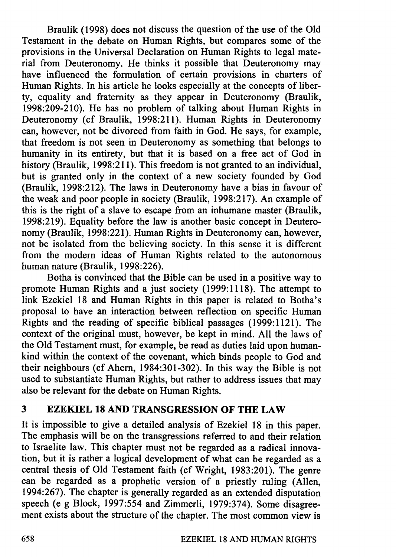Braulik (1998) does not discuss the question of the use of the Old Testament in the debate on Human Rights, but compares some of the provisions in the Universal Declaration on Human Rights to legal material from Deuteronomy. He thinks it possible that Deuteronomy may have influenced the formulation of certain provisions in charters of Human Rights. In his article he looks especially at the concepts of liberty, equality and fraternity as they appear in Deuteronomy (Braulik, 1998:209-210). He has no problem of talking about Human Rights in Deuteronomy (cf Braulik, 1998:211). Human Rights in Deuteronomy can, however, not be divorced from faith in God. He says, for example, that freedom is not seen in Deuteronomy as something that belongs to humanity in its entirety, but that it is based on a free act of God in history (Braulik, 1998:211). This freedom is not granted to an individual, but is granted only in the context of a new society founded by God (Braulik, 1998:212). The laws in Deuteronomy have a bias in favour of the weak and poor people in society (Braulik, 1998:217). An example of this is the right of a slave to escape from an inhumane master (Braulik, 1998:219). Equality before the law is another basic concept in Deuteronomy (Braulik, 1998:221). Human Rights in Deuteronomy can, however, not be isolated from the believing society. In this sense it is different from the modem ideas of Human Rights related to the autonomous human nature (Braulik, 1998:226).

Botha is convinced that the Bible can be used in a positive way to promote Human Rights and a just society (1999:1118). The attempt to link Ezekiel 18 and Human Rights in this paper is related to Botha's proposal to have an interaction between reflection on specific Human Rights and the reading of specific biblical passages (1999:1121). The context of the original must, however, be kept in mind. All the laws of the Old Testament must, for example, be read as duties laid upon humankind within the context of the covenant, which binds people to God and their neighbours (cf Ahem, 1984:301-302). In this way the Bible is not used to substantiate Human Rights, but rather to address issues that may also be relevant for the debate on Human Rights.

### 3 EZEKIEL 18 AND TRANSGRESSION OF THE LAW

It is impossible to give a detailed analysis of Ezekiel 18 in this paper. The emphasis will be on the transgressions referred to and their relation to Israelite law. This chapter must not be regarded as a radical innovation, but it is rather a logical development of what can be regarded as a central thesis of Old Testament faith (cf Wright, 1983:201). The genre can be regarded as a prophetic version of a priestly ruling (Allen, 1994:267). The chapter is generally regarded as an extended disputation speech (e g Block, 1997:554 and Zimmerli, 1979:374). Some disagreement exists about the structure of the chapter. The most common view is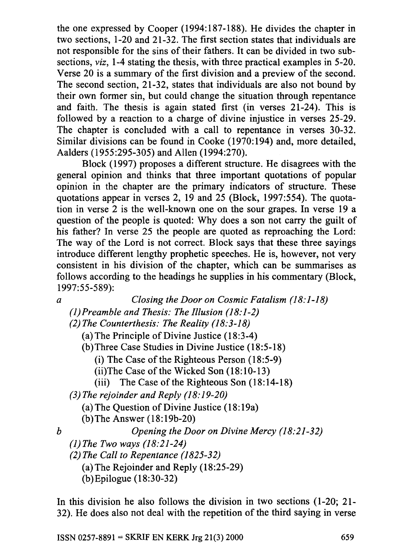the one expressed by Cooper (1994:187-188). He divides the chapter in two sections, 1-20 and 21-32. The first section states that individuals are not responsible for the sins of their fathers. It can be divided in two subsections, *viz,* 1-4 stating the thesis, with three practical examples in 5-20. Verse 20 is a summary of the first division and a preview of the second. The second section, 21-32, states that individuals are also not bound by their own former sin, but could change the situation through repentance and faith. The thesis is again stated first (in verses 21-24). This is followed by a reaction to a charge of divine injustice in verses 25-29. The chapter is concluded with a call to repentance in verses 30-32. Similar divisions can be found in Cooke (1970:194) and, more detailed, Aalders (1955:295-305) and Allen (1994:270).

Block (1997) proposes a different structure. He disagrees with the general opinion and thinks that three important quotations of popular opinion in the chapter are the primary indicators of structure. These quotations appear in verses 2, 19 and 25 (Block, 1997:554). The quotation in verse 2 is the well-known one on the sour grapes. In verse 19 a question of the people is quoted: Why does a son not carry the guilt of his father? In verse 25 the people are quoted as reproaching the Lord: The way of the Lord is not correct. Block says that these three sayings introduce different lengthy prophetic speeches. He is, however, not very consistent in his division of the chapter, which can be summarises as follows according to the headings he supplies in his commentary (Block, 1997:55-589):

*a Closing the Door on Cosmic Fatalism (18:1-18)* 

*(1)Preamble and Thesis: The Illusion (18:1-2)* 

*(2) The Counterthesis: The Reality* (18: 3-18)

(a) The Principle of Divine Justice (18:3-4)

(b)Three Case Studies in Divine Justice (18:5-18)

(i) The Case of the Righteous Person (18:5-9)

(ii)The Case of the Wicked Son (18:10-13)

(iii) The Case of the Righteous Son (18:14-18)

*(3) The rejoinder and Reply* (18: *19-20)* 

(a) The Question of Divine Justice (18:19a)

(b)The Answer (18: 19b-20)

*b Opening the Door on Divine Mercy (18:21-32)* 

(1) *The Two ways (18:21-24)* 

*(2) The Call to Repentance (1825-32)* 

(a) The Rejoinder and Reply (18:25-29)

(b)Epilogue (18:30-32)

In this division he also follows the division in two sections (1-20; 21- 32). He does also not deal with the repetition of the third saying in verse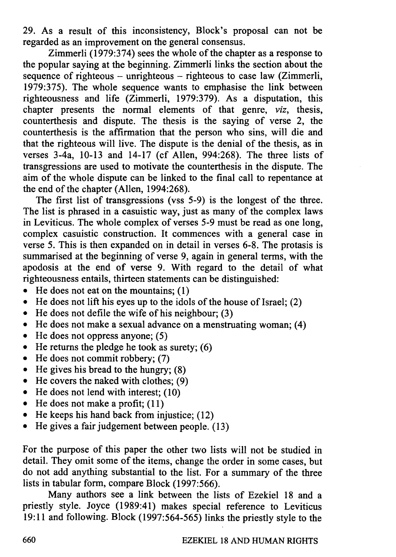29. As a result of this inconsistency, Block's proposal can not be regarded as an improvement on the general consensus.

Zimmerli (1979:374) sees the whole of the chapter as a response to the popular saying at the beginning. Zimmerli links the section about the sequence of righteous  $-$  unrighteous  $-$  righteous to case law (Zimmerli, 1979:375). The whole sequence wants to emphasise the link between righteousness and life (Zimmerli, 1979:379). As a disputation, this chapter presents the normal elements of that genre, *viz,* thesis, counterthesis and dispute. The thesis is the saying of verse 2, the counterthesis is the affirmation that the person who sins, will die and that the righteous will live. The dispute is the denial of the thesis, as in verses 3-4a, 10-13 and 14-17 (cf Allen, 994:268). The three lists of transgressions are used to motivate the counterthesis in the dispute. The aim of the whole dispute can be linked to the final call to repentance at the end of the chapter (Allen, 1994:268).

The first list of transgressions (vss 5-9) is the longest of the three. The list is phrased in a casuistic way, just as many of the complex laws in Leviticus. The whole complex of verses 5-9 must be read as one long, complex casuistic construction. It commences with a general case in verse 5. This is then expanded on in detail in verses 6-8. The protasis is summarised at the beginning of verse 9, again in general terms, with the apodosis at the end of verse 9. With regard to the detail of what righteousness entails, thirteen statements can be distinguished:

- He does not eat on the mountains; (1)
- He does not lift his eyes up to the idols of the house of Israel; (2)
- He does not defile the wife of his neighbour; (3)
- He does not make a sexual advance on a menstruating woman; (4)
- He does not oppress anyone;  $(5)$
- He returns the pledge he took as surety; (6)
- He does not commit robbery; (7)
- He gives his bread to the hungry;  $(8)$
- He covers the naked with clothes;  $(9)$
- He does not lend with interest; (10)
- He does not make a profit;  $(11)$
- He keeps his hand back from injustice; (12)
- He gives a fair judgement between people. (13)

For the purpose of this paper the other two lists will not be studied in detail. They omit some of the items, change the order in some cases, but do not add anything substantial to the list. For a summary of the three lists in tabular form, compare Block (1997:566).

Many authors see a link between the lists of Ezekiel 18 and a priestly style. Joyce (1989:41) makes special reference to Leviticus 19:11 and following. Block (1997:564-565) links the priestly style to the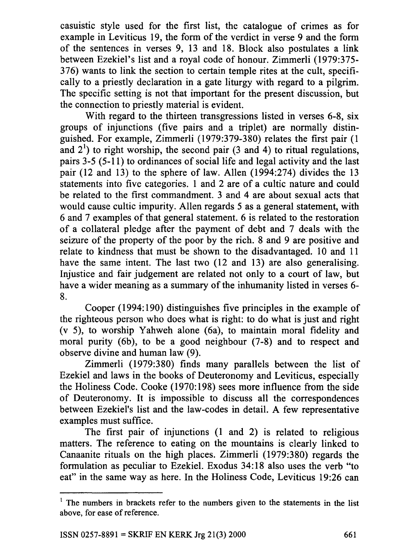casuistic style used for the first list, the catalogue of crimes as for example in Leviticus 19, the form of the verdict in verse 9 and the form of the sentences in verses 9, 13 and 18. Block also postulates a link between Ezekiel's list and a royal code of honour. Zimmerli (1979:375- 376) wants to link the section to certain temple rites at the cult, specifically to a priestly declaration in a gate liturgy with regard to a pilgrim. The specific setting is not that important for the present discussion, but the connection to priestly material is evident.

With regard to the thirteen transgressions listed in verses 6-8, six groups of injunctions (five pairs and a triplet) are normally distinguished. For example, Zimmerli (1979:379-380) relates the first pair (1 and  $2<sup>1</sup>$ ) to right worship, the second pair (3 and 4) to ritual regulations, pairs 3-5 (5-11) to ordinances of social life and legal activity and the last pair (12 and 13) to the sphere of law. Allen (1994:274) divides the 13 statements into five categories. 1 and 2 are of a cultic nature and could be related to the first commandment. 3 and 4 are about sexual acts that would cause cultic impurity. Allen regards 5 as a general statement, with 6 and 7 examples of that general statement. 6 is related to the restoration of a collateral pledge after the payment of debt and 7 deals with the seizure of the property of the poor by the rich. 8 and 9 are positive and relate to kindness that must be shown to the disadvantaged. 10 and 11 have the same intent. The last two (12 and 13) are also generalising. Injustice and fair judgement are related not only to a court of law, but have a wider meaning as a summary of the inhumanity listed in verses 6- 8.

Cooper (1994:190) distinguishes five principles in the example of the righteous person who does what is right: to do what is just and right (v 5), to worship Yahweh alone (6a), to maintain moral fidelity and moral purity (6b), to be a good neighbour (7-8) and to respect and observe divine and human law (9).

Zimmerli (1979:380) finds many parallels between the list of Ezekiel and laws in the books of Deuteronomy and Leviticus, especially the Holiness Code. Cooke (1970: 198) sees more influence from the side of Deuteronomy. It is impossible to discuss all the correspondences between Ezekiel's list and the law-codes in detail. A few representative examples must suffice.

The first pair of injunctions (1 and 2) is related to religious matters. The reference to eating on the mountains is clearly linked to Canaanite rituals on the high places. Zimmerli (1979:380) regards the formulation as peculiar to Ezekiel. Exodus 34: 18 also uses the verb "to eat" in the same way as here. In the Holiness Code, Leviticus 19:26 can

 $<sup>1</sup>$  The numbers in brackets refer to the numbers given to the statements in the list</sup> above, for ease of reference.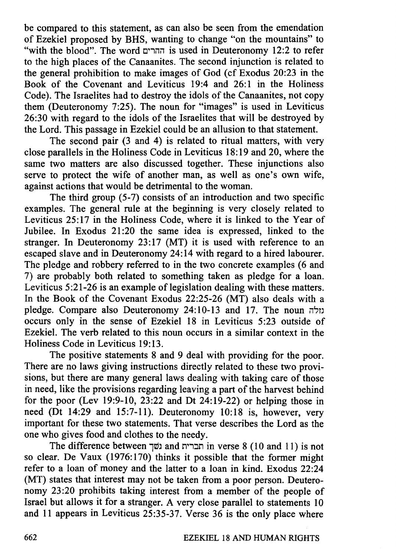be compared to this statement, as can also be seen from the emendation of Ezekiel proposed by BHS, wanting to change "on the mountains" to "with the blood". The word ההרים is used in Deuteronomy 12:2 to refer to the high places of the Canaanites. The second injunction is related to the general prohibition to make images of God (cf Exodus 20:23 in the Book of the Covenant and Leviticus 19:4 and 26:1 in the Holiness Code). The Israelites had to destroy the idols of the Canaanites, not copy them (Deuteronomy 7:25). The noun for "images" is used in Leviticus 26:30 with regard to the idols of the Israelites that will be destroyed by the Lord. This passage in Ezekiel could be an allusion to that statement.

The second pair (3 and 4) is related to ritual matters, with very close parallels in the Holiness Code in Leviticus 18:19 and 20, where the same two matters are also discussed together. These injunctions also serve to protect the wife of another man, as well as one's own wife, against actions that would be detrimental to the woman.

The third group (5-7) consists of an introduction and two specific examples. The general rule at the beginning is very closely related to Leviticus 25:17 in the Holiness Code, where it is linked to the Year of Jubilee. In Exodus 21 :20 the same idea is expressed, linked to the stranger. In Deuteronomy 23:17 (MT) it is used with reference to an escaped slave and in Deuteronomy 24:14 with regard to a hired labourer. The pledge and robbery referred to in the two concrete examples (6 and 7) are probably both related to something taken as pledge for a loan. Leviticus 5:21-26 is an example of legislation dealing with these matters. In the Book of the Covenant Exodus 22:25-26 (MT) also deals with a pledge. Compare also Deuteronomy 24:10-13 and 17. The noun occurs only in the sense of Ezekiel 18 in Leviticus 5:23 outside of Ezekiel. The verb related to this noun occurs in a similar context in the Holiness Code in Leviticus 19:13.

The positive statements 8 and 9 deal with providing for the poor. There are no laws giving instructions directly related to these two provisions, but there are many general laws dealing with taking care of those in need, like the provisions regarding leaving a part of the harvest behind for the poor (Lev 19:9-10, 23:22 and Dt  $24:19-22$ ) or helping those in need (Dt 14:29 and 15:7-11). Deuteronomy 10:18 is, however, very important for these two statements. That verse describes the Lord as the one who gives food and clothes to the needy.

The difference between ועך and חברית in verse 8 (10 and 11) is not so clear. De Vaux (1976:170) thinks it possible that the former might refer to a loan of money and the latter to a loan in kind. Exodus 22:24 (MT) states that interest may not be taken from a poor person. Deuteronomy 23 :20 prohibits taking interest from a member of the people of Israel but allows it for a stranger. A very close parallel to statements 10 and 11 appears in Leviticus 25:35-37. Verse 36 is the only place where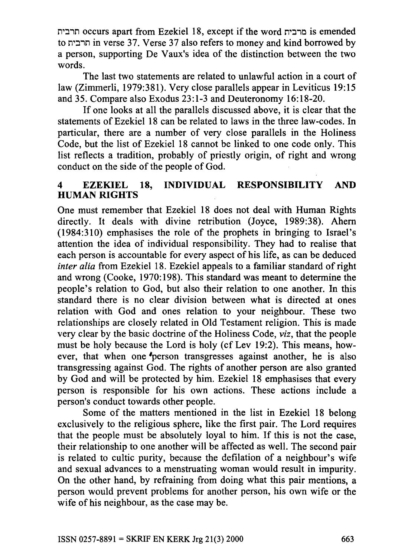n':lin occurs apart from Ezekiel 18, except if the word n':liO is emended to חרבית in verse 37. Verse 37 also refers to money and kind borrowed by a person, supporting De Vaux's idea of the distinction between the two words.

The last two statements are related to unlawful action in a court of law (Zimmerli, 1979:381). Very close parallels appear in Leviticus 19:15 and 35. Compare also Exodus 23:1-3 and Deuteronomy 16:18-20.

If one looks at all the parallels discussed above, it is clear that the statements of Ezekiel 18 can be related to laws in the three law-codes. In particular, there are a number of very close parallels in the Holiness Code, but the list of Ezekiel 18 cannot be linked to one code only. This list reflects a tradition, probably of priestly origin, of right and wrong conduct on the side of the people of God.

#### 4 EZEKIEL 18, INDIVIDUAL RESPONSIBILITY AND HUMAN RIGHTS

One must remember that Ezekiel 18 does not deal with Human Rights directly. It deals with divine retribution (Joyce, 1989:38). Ahem (1984:310) emphasises the role of the prophets in bringing to Israel's attention the idea of individual responsibility. They had to realise that each person is accountable for every aspect of his life, as can be deduced *inter alia* from Ezekiel 18. Ezekiel appeals to a familiar standard of right and wrong (Cooke, 1970:198). This standard was meant to determine the people's relation to God, but also their relation to one another. In this standard there is no clear division between what is directed at ones relation with God and ones relation to your neighbour. These two relationships are closely related in Old Testament religion. This is made very clear by the basic doctrine of the Holiness Code, *viz,* that the people must be holy because the Lord is holy (cf Lev 19:2). This means, however, that when one 'person transgresses against another, he is also transgressing against God. The rights of another person are also granted by God and will be protected by him. Ezekiel 18 emphasises that every person is responsible for his own actions. These actions include a person's conduct towards other people.

Some of the matters mentioned in the list in Ezekiel 18 belong exclusively to the religious sphere, like the first pair. The Lord requires that the people must be absolutely loyal to him. If this is not the case, their relationship to one another will be affected as well. The second pair is related to cultic purity, because the defilation of a neighbour's wife and sexual advances to a menstruating woman would result in impurity. On the other hand, by refraining from doing what this pair mentions, a person would prevent problems for another person, his own wife or the wife of his neighbour, as the case may be.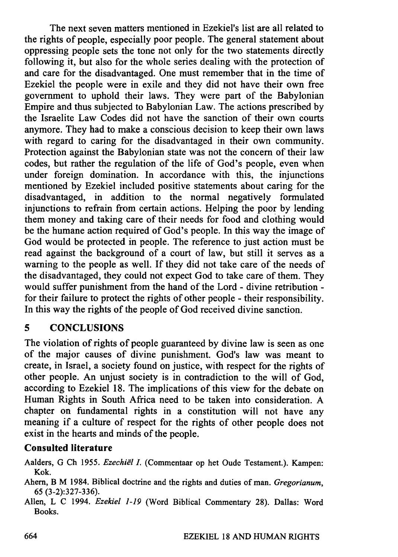The next seven matters mentioned in Ezekiel's list are all related to the rights of people, especially poor people. The general statement about oppressing people sets the tone not only for the two statements directly following it, but also for the whole series dealing with the protection of and care for the disadvantaged. One must remember that in the time of Ezekiel the people were in exile and they did not have their own free government to uphold their laws. They were part of the Babylonian Empire and thus subjected to Babylonian Law. The actions prescribed by the Israelite Law Codes did not have the sanction of their own courts anymore. They had to make a conscious decision to keep their own laws with regard to caring for the disadvantaged in their own community. Protection against the Babylonian state was not the concern of their law codes, but rather the regulation of the life of God's people, even when under foreign domination. In accordance with this, the injunctions mentioned by Ezekiel included positive statements about caring for the disadvantaged, in addition to the normal negatively formulated injunctions to refrain from certain actions. Helping the poor by lending them money and taking care of their needs for food and clothing would be the humane action required of God's people. In this way the image of God would be protected in people. The reference to just action must be read against the background of a court of law, but still it serves as a warning to the people as well. If they did not take care of the needs of the disadvantaged, they could not expect God to take care of them. They would suffer punishment from the hand of the Lord - divine retribution for their failure to protect the rights of other people - their responsibility. In this way the rights of the people of God received divine sanction.

# **5 CONCLUSIONS**

The violation of rights of people guaranteed by divine law is seen as one of the major causes of divine punishment. God's law was meant to create, in Israel, a society found on justice, with respect for the rights of other people. An unjust society is in contradiction to the will of God, according to Ezekiel 18. The implications of this view for the debate on Human Rights in South Africa need to be taken into consideration. A chapter on fundamental rights in a constitution will not have any meaning if a culture of respect for the rights of other people does not exist in the hearts and minds of the people.

#### **Consulted literature**

- Aalders, G Ch 1955. *Ezechiel I.* (Commentaar op het Oude Testament.). Kampen: Kok.
- Ahem, B M 1984. Biblical doctrine and the rights and duties of man. *Gregorianum,*  65 (3-2):327-336).
- Allen, L C 1994. *Ezekiel* 1-19 (Word Biblical Commentary 28). Dallas: Word Books.